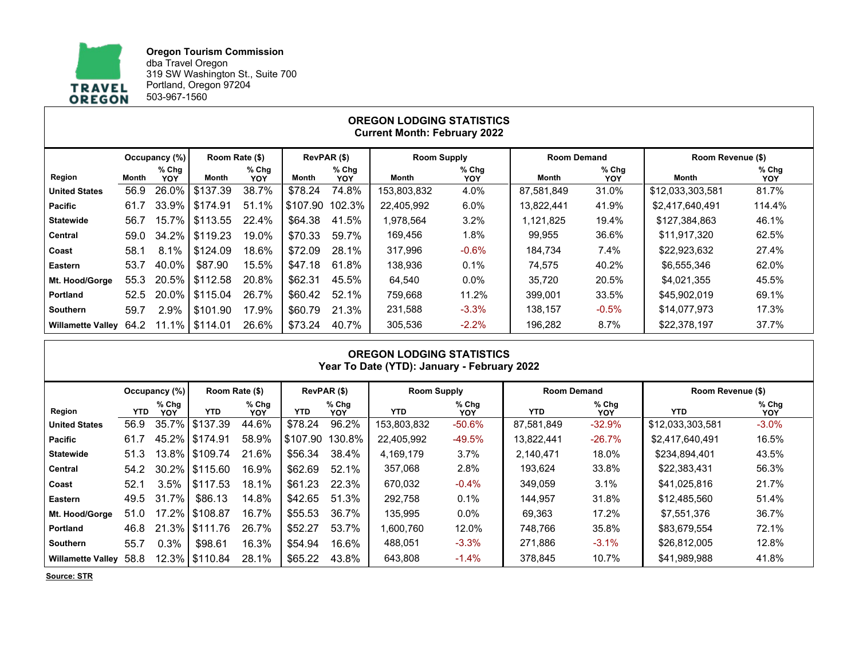

Oregon Tourism Commission dba Travel Oregon 319 SW Washington St., Suite 700 Portland, Oregon 97204 503-967-1560

| <b>OREGON LODGING STATISTICS</b><br><b>Current Month: February 2022</b> |               |                       |                  |                       |                 |                       |                    |                       |                    |                       |                   |                       |
|-------------------------------------------------------------------------|---------------|-----------------------|------------------|-----------------------|-----------------|-----------------------|--------------------|-----------------------|--------------------|-----------------------|-------------------|-----------------------|
|                                                                         | Occupancy (%) |                       | Room Rate (\$)   |                       | RevPAR (\$)     |                       | <b>Room Supply</b> |                       | <b>Room Demand</b> |                       | Room Revenue (\$) |                       |
| Region                                                                  | Month         | $%$ Chg<br><b>YOY</b> | Month            | $%$ Chg<br><b>YOY</b> | Month           | $%$ Chg<br><b>YOY</b> | Month              | $%$ Chg<br><b>YOY</b> | Month              | $%$ Chg<br><b>YOY</b> | Month             | $%$ Chg<br><b>YOY</b> |
| <b>United States</b>                                                    | 56.9          | 26.0%                 | 5137.39          | 38.7%                 | \$78.24         | 74.8%                 | 153,803,832        | 4.0%                  | 87.581.849         | 31.0%                 | \$12,033,303,581  | 81.7%                 |
| <b>Pacific</b>                                                          | 61.7          |                       | 33.9% S174.91    | 51.1%                 | \$107.90 102.3% |                       | 22,405,992         | 6.0%                  | 13,822,441         | 41.9%                 | \$2,417,640,491   | 114.4%                |
| <b>Statewide</b>                                                        | 56.7          |                       | 15.7%   \$113.55 | 22.4%                 | \$64.38         | 41.5%                 | 1,978,564          | 3.2%                  | 1,121,825          | 19.4%                 | \$127,384,863     | 46.1%                 |
| Central                                                                 | 59.0          |                       | 34.2%   \$119.23 | 19.0%                 | \$70.33         | 59.7%                 | 169,456            | 1.8%                  | 99,955             | 36.6%                 | \$11,917,320      | 62.5%                 |
| Coast                                                                   | 58.1          | 8.1%                  | \$124.09         | 18.6%                 | \$72.09         | 28.1%                 | 317,996            | $-0.6%$               | 184,734            | $7.4\%$               | \$22,923,632      | 27.4%                 |
| Eastern                                                                 | 53.7          | 40.0%                 | \$87.90          | 15.5%                 | \$47.18         | 61.8%                 | 138,936            | 0.1%                  | 74,575             | 40.2%                 | \$6,555,346       | 62.0%                 |
| Mt. Hood/Gorge                                                          | 55.3          |                       | 20.5%   \$112.58 | 20.8%                 | \$62.31         | 45.5%                 | 64.540             | $0.0\%$               | 35.720             | 20.5%                 | \$4,021,355       | 45.5%                 |
| <b>Portland</b>                                                         | 52.5          |                       | 20.0% S115.04    | 26.7%                 | \$60.42         | 52.1%                 | 759.668            | 11.2%                 | 399,001            | 33.5%                 | \$45,902,019      | 69.1%                 |
| <b>Southern</b>                                                         | 59.7          | 2.9%                  | 5101.90          | 17.9%                 | \$60.79         | 21.3%                 | 231,588            | $-3.3%$               | 138,157            | $-0.5\%$              | \$14,077,973      | 17.3%                 |
| <b>Willamette Valley</b>                                                | 64.2          | 11.1% l               | l \$114.01       | 26.6%                 | \$73.24         | 40.7%                 | 305,536            | $-2.2%$               | 196,282            | 8.7%                  | \$22,378,197      | 37.7%                 |

| <b>OREGON LODGING STATISTICS</b><br>Year To Date (YTD): January - February 2022 |               |                |                  |                |             |                       |                    |                       |                    |                       |                   |                       |
|---------------------------------------------------------------------------------|---------------|----------------|------------------|----------------|-------------|-----------------------|--------------------|-----------------------|--------------------|-----------------------|-------------------|-----------------------|
|                                                                                 | Occupancy (%) |                | Room Rate (\$)   |                | RevPAR (\$) |                       | <b>Room Supply</b> |                       | <b>Room Demand</b> |                       | Room Revenue (\$) |                       |
| Region                                                                          | <b>YTD</b>    | $%$ Chg<br>YOY | <b>YTD</b>       | $%$ Chg<br>YOY | <b>YTD</b>  | $%$ Chg<br><b>YOY</b> | <b>YTD</b>         | $%$ Chg<br><b>YOY</b> | <b>YTD</b>         | $%$ Chg<br><b>YOY</b> | <b>YTD</b>        | $%$ Chg<br><b>YOY</b> |
| <b>United States</b>                                                            | 56.9          |                | 35.7%   \$137.39 | 44.6%          | \$78.24     | 96.2%                 | 153,803,832        | $-50.6%$              | 87,581,849         | $-32.9%$              | \$12,033,303,581  | $-3.0%$               |
| <b>Pacific</b>                                                                  | 61.7          |                | 45.2% \$174.91   | 58.9%          | \$107.90    | 130.8%                | 22.405.992         | -49.5%                | 13,822,441         | $-26.7%$              | \$2,417,640,491   | 16.5%                 |
| <b>Statewide</b>                                                                | 51.3          |                | 13.8% S109.74    | 21.6%          | \$56.34     | 38.4%                 | 4.169.179          | $3.7\%$               | 2.140.471          | 18.0%                 | \$234.894.401     | 43.5%                 |
| Central                                                                         | 54.2          |                | 30.2%   \$115.60 | 16.9%          | \$62.69     | 52.1%                 | 357,068            | 2.8%                  | 193,624            | 33.8%                 | \$22,383,431      | 56.3%                 |
| Coast                                                                           | 52.1          | 3.5%           | 5117.53          | 18.1%          | \$61.23     | 22.3%                 | 670,032            | $-0.4%$               | 349,059            | 3.1%                  | \$41,025,816      | 21.7%                 |
| Eastern                                                                         | 49.5          | $31.7\%$       | \$86.13          | 14.8%          | \$42.65     | 51.3%                 | 292,758            | 0.1%                  | 144.957            | 31.8%                 | \$12.485.560      | 51.4%                 |
| Mt. Hood/Gorge                                                                  | 51.0          |                | 17.2% S108.87    | 16.7%          | \$55.53     | 36.7%                 | 135,995            | $0.0\%$               | 69,363             | 17.2%                 | \$7.551.376       | 36.7%                 |
| Portland                                                                        | 46.8          |                | 21.3% S111.76    | 26.7%          | \$52.27     | 53.7%                 | 1,600,760          | 12.0%                 | 748.766            | 35.8%                 | \$83,679,554      | 72.1%                 |
| Southern                                                                        | 55.7          | 0.3%           | \$98.61          | 16.3%          | \$54.94     | 16.6%                 | 488,051            | $-3.3%$               | 271,886            | $-3.1%$               | \$26,812,005      | 12.8%                 |
| <b>Willamette Valley</b>                                                        | 58.8          |                | 12.3% \$110.84   | 28.1%          | \$65.22     | 43.8%                 | 643,808            | $-1.4%$               | 378,845            | 10.7%                 | \$41,989,988      | 41.8%                 |

Source: STR